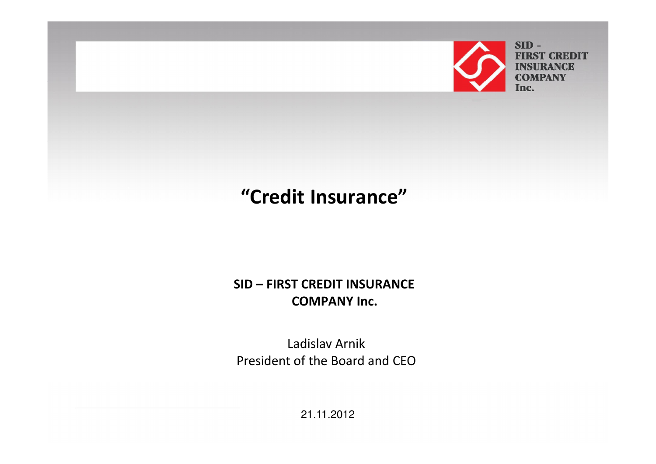

 $SID -$ **FIRST CREDIT INSURANCE COMPANY** Inc.

## "Credit Insurance"

#### SID – FIRST CREDIT INSURANCE COMPANY Inc.

Ladislav ArnikPresident of the Board and CEO

21.11.2012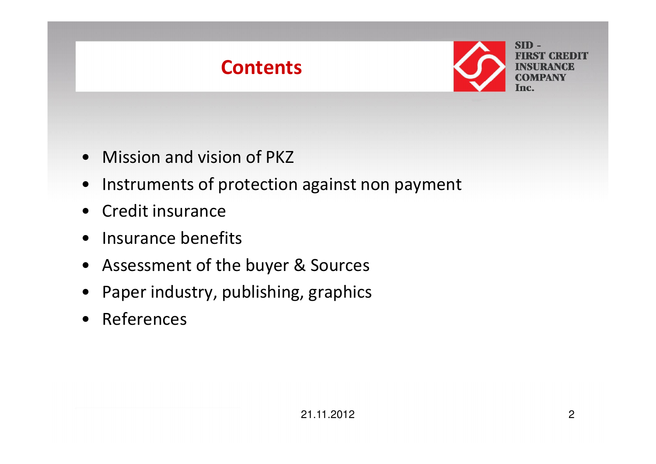

- Mission and vision of PKZ
- Instruments of protection against non payment
- Credit insurance
- Insurance benefits
- Assessment of the buyer & Sources
- •Paper industry, publishing, graphics
- References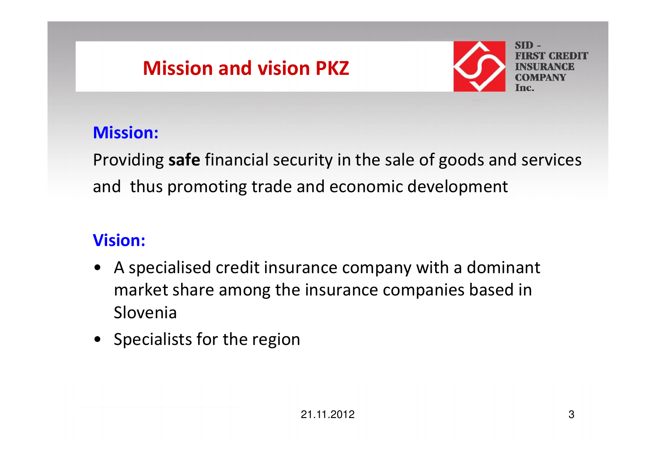# Mission and vision PKZ



#### Mission:

Providing **safe** financial security in the sale of goods and services and thus promoting trade and economic development

#### Vision:

- A specialised credit insurance company with a dominant market share among the insurance companies based inSlovenia
- Specialists for the region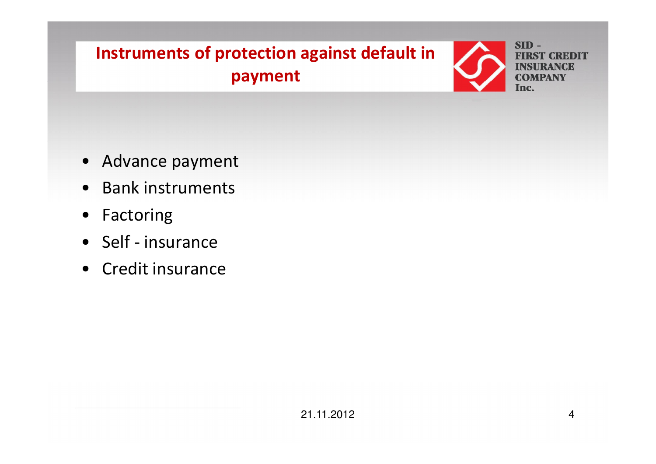## Instruments of protection against default in payment



- Advance payment
- Bank instruments
- Factoring
- Self insurance
- Credit insurance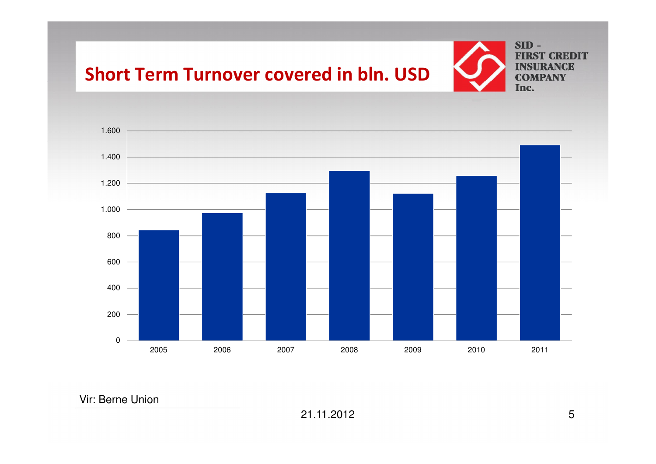#### Short Term Turnover covered in bln. USD



 $SID -$ **FIRST CREDIT INSURANCE COMPANY** Inc.



Vir: Berne Union

21.11.2012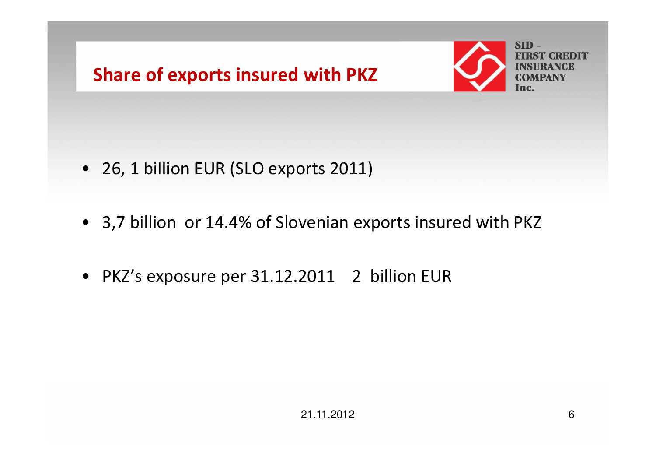



- 26, 1 billion EUR (SLO exports 2011)
- 3,7 billion or 14.4% of Slovenian exports insured with PKZ
- PKZ's exposure per 31.12.2011 <sup>2</sup> billion EUR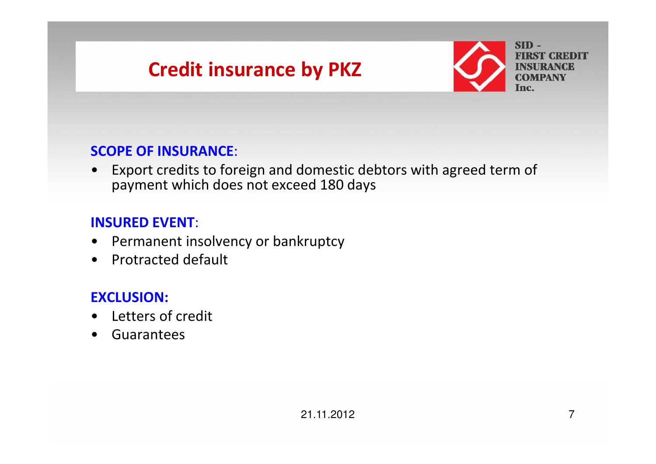# Credit insurance by PKZ



#### SCOPE OF INSURANCE:

• Export credits to foreign and domestic debtors with agreed term of payment which does not exceed 180 days

#### INSURED EVENT:

- $\bullet$ Permanent insolvency or bankruptcy
- •Protracted default

#### EXCLUSION:

- $\bullet$ Letters of credit
- $\bullet$ Guarantees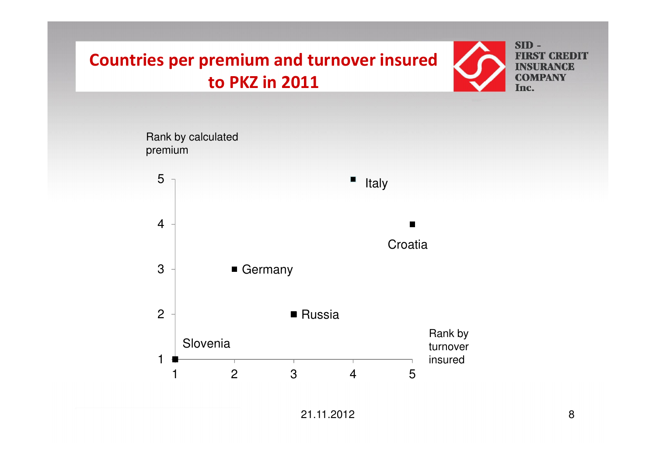### Countries per premium and turnover insured to PKZ in 2011





21.11.2012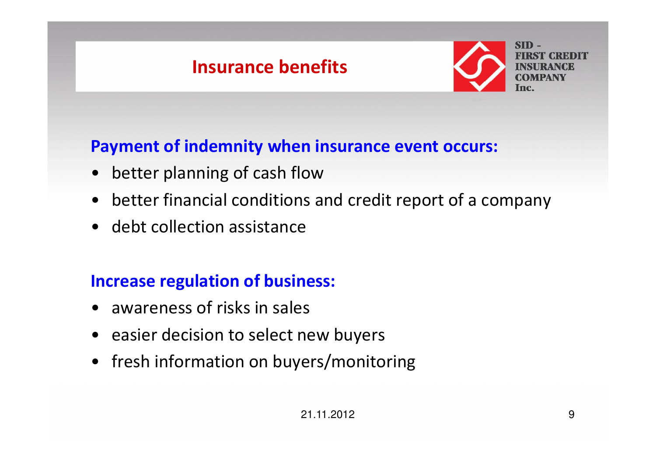## Insurance benefits



### Payment of indemnity when insurance event occurs:

- $\bullet$ better planning of cash flow
- better financial conditions and credit report of a company
- debt collection assistance

#### Increase regulation of business:

- awareness of risks in sales
- easier decision to select new buyers
- fresh information on buyers/monitoring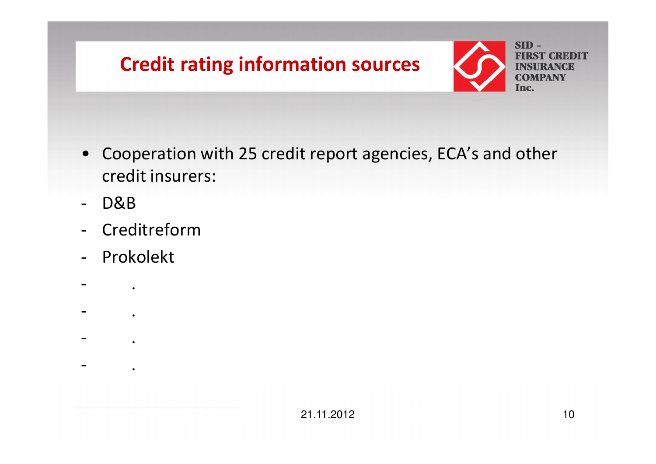



- Cooperation with 25 credit report agencies, ECA's and other credit insurers:
- -D&B
- Creditreform
- Prokolekt

.

.

.

.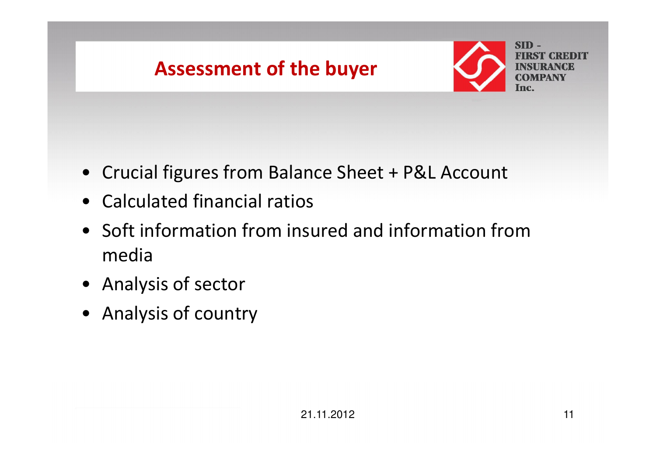



- Crucial figures from Balance Sheet + P&L Account
- Calculated financial ratios
- Soft information from insured and information frommedia
- Analysis of sector
- Analysis of country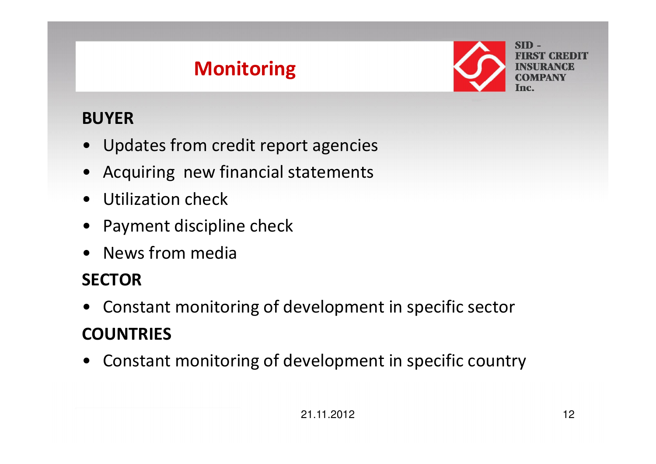# Monitoring



### BUYER

- Updates from credit report agencies
- Acquiring new financial statements
- $\bullet$ Utilization check
- Payment discipline check
- News from media

## **SECTOR**

- Constant monitoring of development in specific sector **COUNTRIES**
- Constant monitoring of development in specific country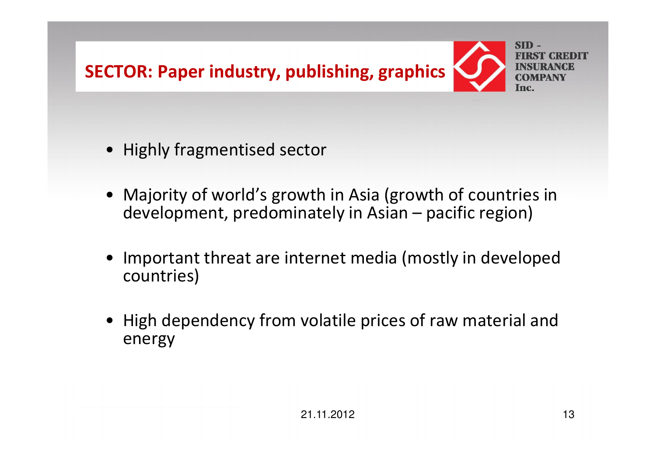

- Highly fragmentised sector
- Majority of world's growth in Asia (growth of countries in development, predominately in Asian – pacific region)
- • Important threat are internet media (mostly in developed countries)
- High dependency from volatile prices of raw material and energy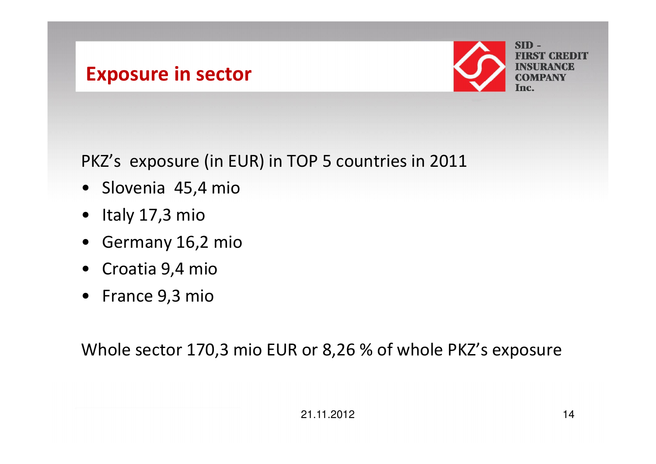### Exposure in sector



PKZ's exposure (in EUR) in TOP 5 countries in 2011

- Slovenia 45,4 mio
- Italy 17,3 mio
- Germany 16,2 mio
- Croatia 9,4 mio
- France 9,3 mio

Whole sector 170,3 mio EUR or 8,26 % of whole PKZ's exposure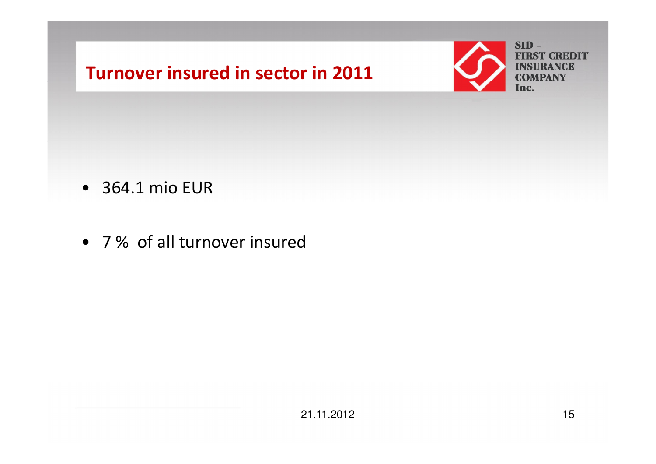### Turnover insured in sector in 2011



- 364.1 mio EUR
- 7 % of all turnover insured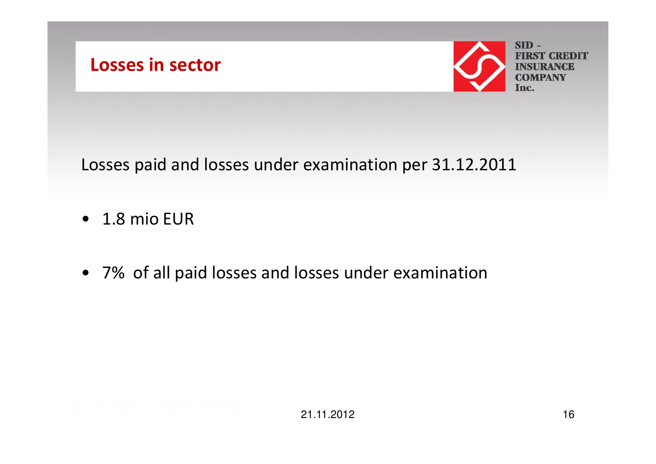



Losses paid and losses under examination per 31.12.2011

- 1.8 mio EUR
- 7% of all paid losses and losses under examination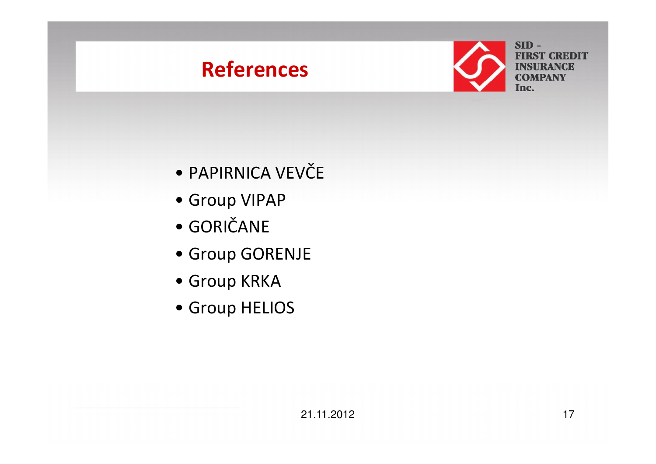# References



**FIRST CREDIT INSURANCE COMPANY** Inc.

- •PAPIRNICA VEVČE
- Group VIPAP
- •GORIČANE
- Group GORENJE
- Group KRKA
- Group HELIOS